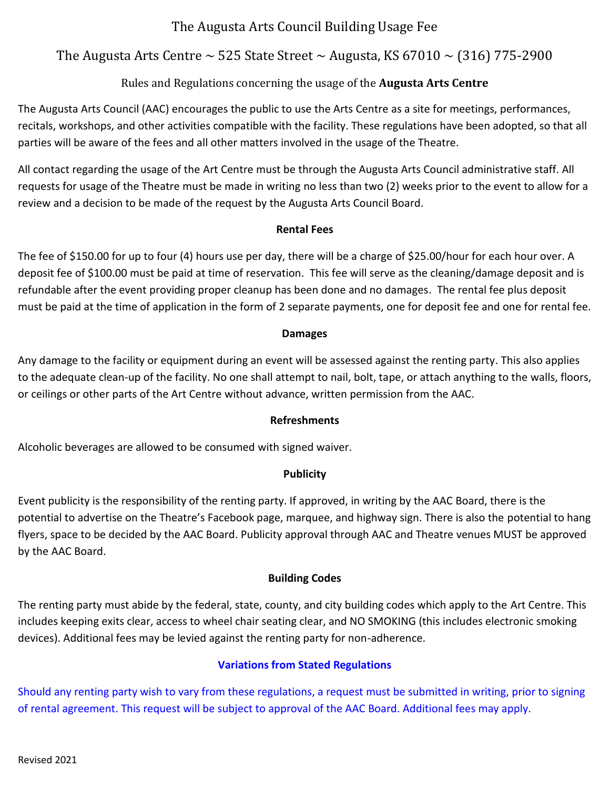## The Augusta Arts Council Building Usage Fee

## The Augusta Arts Centre  $\sim$  525 State Street  $\sim$  Augusta, KS 67010  $\sim$  (316) 775-2900

### Rules and Regulations concerning the usage of the **Augusta Arts Centre**

The Augusta Arts Council (AAC) encourages the public to use the Arts Centre as a site for meetings, performances, recitals, workshops, and other activities compatible with the facility. These regulations have been adopted, so that all parties will be aware of the fees and all other matters involved in the usage of the Theatre.

All contact regarding the usage of the Art Centre must be through the Augusta Arts Council administrative staff. All requests for usage of the Theatre must be made in writing no less than two (2) weeks prior to the event to allow for a review and a decision to be made of the request by the Augusta Arts Council Board.

#### **Rental Fees**

The fee of \$150.00 for up to four (4) hours use per day, there will be a charge of \$25.00/hour for each hour over. A deposit fee of \$100.00 must be paid at time of reservation. This fee will serve as the cleaning/damage deposit and is refundable after the event providing proper cleanup has been done and no damages. The rental fee plus deposit must be paid at the time of application in the form of 2 separate payments, one for deposit fee and one for rental fee.

#### **Damages**

Any damage to the facility or equipment during an event will be assessed against the renting party. This also applies to the adequate clean-up of the facility. No one shall attempt to nail, bolt, tape, or attach anything to the walls, floors, or ceilings or other parts of the Art Centre without advance, written permission from the AAC.

#### **Refreshments**

Alcoholic beverages are allowed to be consumed with signed waiver.

#### **Publicity**

Event publicity is the responsibility of the renting party. If approved, in writing by the AAC Board, there is the potential to advertise on the Theatre's Facebook page, marquee, and highway sign. There is also the potential to hang flyers, space to be decided by the AAC Board. Publicity approval through AAC and Theatre venues MUST be approved by the AAC Board.

#### **Building Codes**

The renting party must abide by the federal, state, county, and city building codes which apply to the Art Centre. This includes keeping exits clear, access to wheel chair seating clear, and NO SMOKING (this includes electronic smoking devices). Additional fees may be levied against the renting party for non-adherence.

#### **Variations from Stated Regulations**

Should any renting party wish to vary from these regulations, a request must be submitted in writing, prior to signing of rental agreement. This request will be subject to approval of the AAC Board. Additional fees may apply.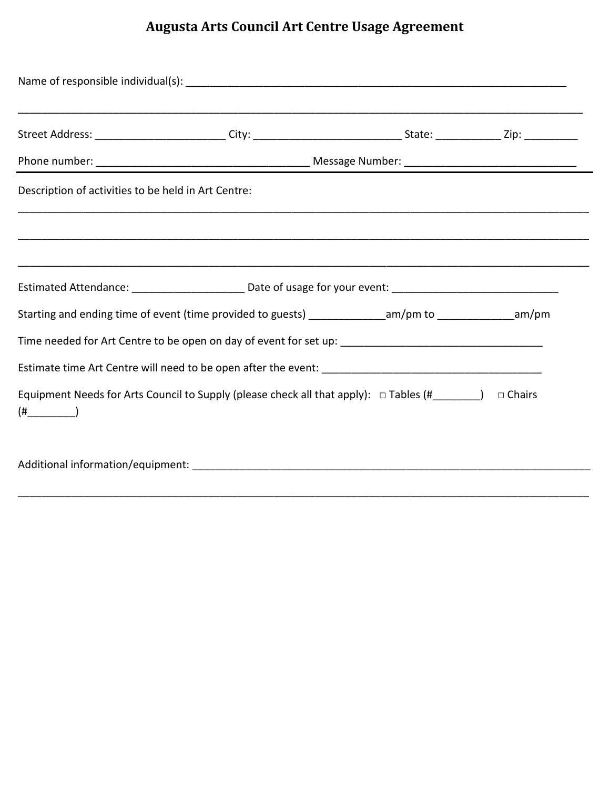# **Augusta Arts Council Art Centre Usage Agreement**

| Name of responsible individual(s): Name of responsible individual (s):                                           |  |  |  |  |
|------------------------------------------------------------------------------------------------------------------|--|--|--|--|
|                                                                                                                  |  |  |  |  |
|                                                                                                                  |  |  |  |  |
| Description of activities to be held in Art Centre:                                                              |  |  |  |  |
|                                                                                                                  |  |  |  |  |
|                                                                                                                  |  |  |  |  |
|                                                                                                                  |  |  |  |  |
| Starting and ending time of event (time provided to guests) ________________am/pm to _______________am/pm        |  |  |  |  |
|                                                                                                                  |  |  |  |  |
|                                                                                                                  |  |  |  |  |
| Equipment Needs for Arts Council to Supply (please check all that apply): $\Box$ Tables (#_______) $\Box$ Chairs |  |  |  |  |
|                                                                                                                  |  |  |  |  |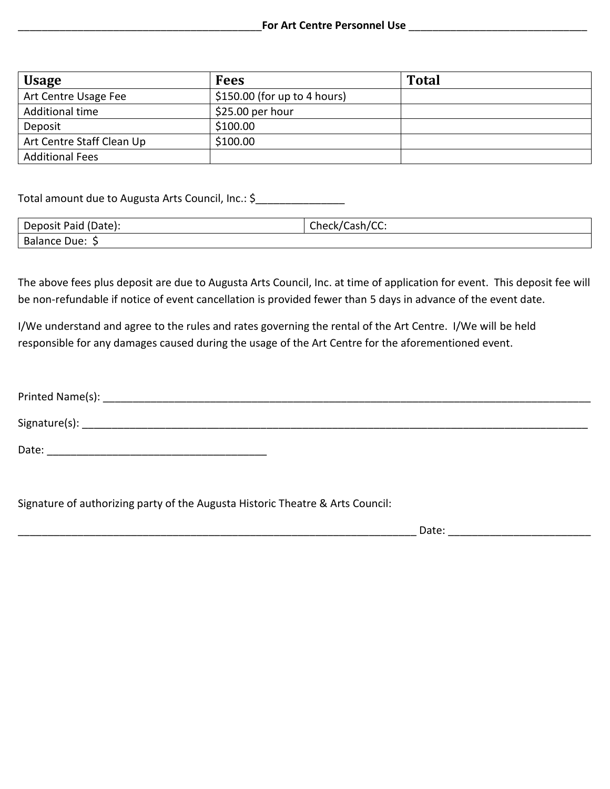| <b>Usage</b>              | <b>Fees</b>                   | <b>Total</b> |
|---------------------------|-------------------------------|--------------|
| Art Centre Usage Fee      | $$150.00$ (for up to 4 hours) |              |
| Additional time           | $$25.00$ per hour             |              |
| Deposit                   | \$100.00                      |              |
| Art Centre Staff Clean Up | \$100.00                      |              |
| <b>Additional Fees</b>    |                               |              |

Total amount due to Augusta Arts Council, Inc.: \$\_\_\_\_\_\_\_\_\_\_\_\_\_\_\_\_\_\_\_\_\_\_\_\_\_\_\_\_\_\_\_

| Deposit Paid (Date): | Check/Cash/CC: |
|----------------------|----------------|
| Balance Due: \$      |                |

The above fees plus deposit are due to Augusta Arts Council, Inc. at time of application for event. This deposit fee will be non-refundable if notice of event cancellation is provided fewer than 5 days in advance of the event date.

I/We understand and agree to the rules and rates governing the rental of the Art Centre. I/We will be held responsible for any damages caused during the usage of the Art Centre for the aforementioned event.

| Printed Name(s): |  |
|------------------|--|
| Signature(s):    |  |
| Date:            |  |

Signature of authorizing party of the Augusta Historic Theatre & Arts Council:

\_\_\_\_\_\_\_\_\_\_\_\_\_\_\_\_\_\_\_\_\_\_\_\_\_\_\_\_\_\_\_\_\_\_\_\_\_\_\_\_\_\_\_\_\_\_\_\_\_\_\_\_\_\_\_\_\_\_\_\_\_\_\_\_\_\_\_ Date: \_\_\_\_\_\_\_\_\_\_\_\_\_\_\_\_\_\_\_\_\_\_\_\_